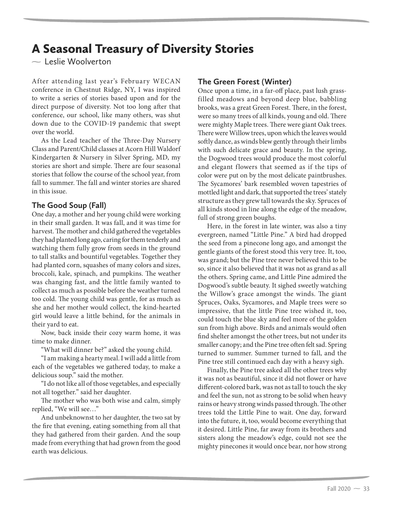## A Seasonal Treasury of Diversity Stories

 $\sim$  Leslie Woolverton

After attending last year's February WECAN conference in Chestnut Ridge, NY, I was inspired to write a series of stories based upon and for the direct purpose of diversity. Not too long after that conference, our school, like many others, was shut down due to the COVID-19 pandemic that swept over the world.

As the Lead teacher of the Three-Day Nursery Class and Parent/Child classes at Acorn Hill Waldorf Kindergarten & Nursery in Silver Spring, MD, my stories are short and simple. There are four seasonal stories that follow the course of the school year, from fall to summer. The fall and winter stories are shared in this issue.

## **The Good Soup (Fall)**

One day, a mother and her young child were working in their small garden. It was fall, and it was time for harvest. The mother and child gathered the vegetables they had planted long ago, caring for them tenderly and watching them fully grow from seeds in the ground to tall stalks and bountiful vegetables. Together they had planted corn, squashes of many colors and sizes, broccoli, kale, spinach, and pumpkins. The weather was changing fast, and the little family wanted to collect as much as possible before the weather turned too cold. The young child was gentle, for as much as she and her mother would collect, the kind-hearted girl would leave a little behind, for the animals in their yard to eat.

Now, back inside their cozy warm home, it was time to make dinner.

"What will dinner be?" asked the young child.

"I am making a hearty meal. I will add a little from each of the vegetables we gathered today, to make a delicious soup." said the mother.

"I do not like all of those vegetables, and especially not all together." said her daughter.

The mother who was both wise and calm, simply replied, "We will see…"

And unbeknownst to her daughter, the two sat by the fire that evening, eating something from all that they had gathered from their garden. And the soup made from everything that had grown from the good earth was delicious.

## **The Green Forest (Winter)**

Once upon a time, in a far-off place, past lush grassfilled meadows and beyond deep blue, babbling brooks, was a great Green Forest. There, in the forest, were so many trees of all kinds, young and old. There were mighty Maple trees. There were giant Oak trees. There were Willow trees, upon which the leaves would softly dance, as winds blew gently through their limbs with such delicate grace and beauty. In the spring, the Dogwood trees would produce the most colorful and elegant flowers that seemed as if the tips of color were put on by the most delicate paintbrushes. The Sycamores' bark resembled woven tapestries of mottled light and dark, that supported the trees' stately structure as they grew tall towards the sky. Spruces of all kinds stood in line along the edge of the meadow, full of strong green boughs.

Here, in the forest in late winter, was also a tiny evergreen, named "Little Pine." A bird had dropped the seed from a pinecone long ago, and amongst the gentle giants of the forest stood this very tree. It, too, was grand; but the Pine tree never believed this to be so, since it also believed that it was not as grand as all the others. Spring came, and Little Pine admired the Dogwood's subtle beauty. It sighed sweetly watching the Willow's grace amongst the winds. The giant Spruces, Oaks, Sycamores, and Maple trees were so impressive, that the little Pine tree wished it, too, could touch the blue sky and feel more of the golden sun from high above. Birds and animals would often find shelter amongst the other trees, but not under its smaller canopy; and the Pine tree often felt sad. Spring turned to summer. Summer turned to fall, and the Pine tree still continued each day with a heavy sigh.

Finally, the Pine tree asked all the other trees why it was not as beautiful, since it did not flower or have different-colored bark, was not as tall to touch the sky and feel the sun, not as strong to be solid when heavy rains or heavy strong winds passed through. The other trees told the Little Pine to wait. One day, forward into the future, it, too, would become everything that it desired. Little Pine, far away from its brothers and sisters along the meadow's edge, could not see the mighty pinecones it would once bear, nor how strong